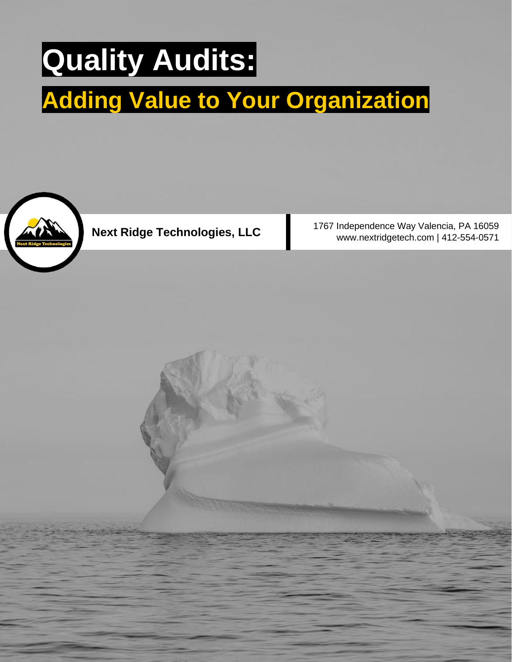# **Quality Audits:**

## **Adding Value to Your Organization**



1767 Independence Way Valencia, PA 16059 Next Ridge Technologies, LLC<br>www.nextridgetech.com | 412-554-0571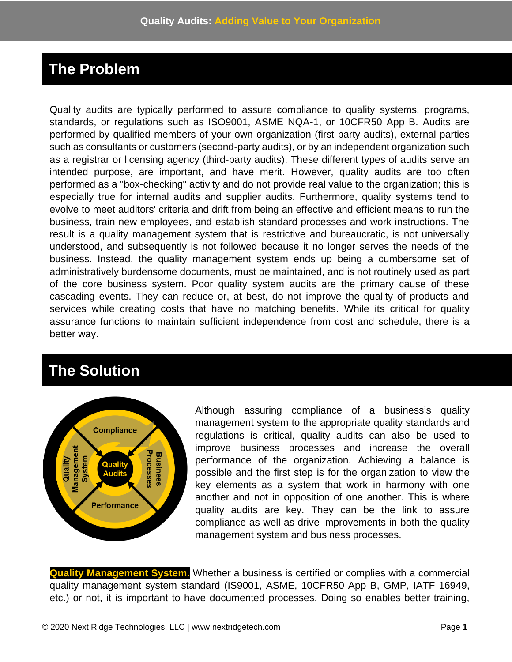### **The Problem**

Quality audits are typically performed to assure compliance to quality systems, programs, standards, or regulations such as ISO9001, ASME NQA-1, or 10CFR50 App B. Audits are performed by qualified members of your own organization (first-party audits), external parties such as consultants or customers (second-party audits), or by an independent organization such as a registrar or licensing agency (third-party audits). These different types of audits serve an intended purpose, are important, and have merit. However, quality audits are too often performed as a "box-checking" activity and do not provide real value to the organization; this is especially true for internal audits and supplier audits. Furthermore, quality systems tend to evolve to meet auditors' criteria and drift from being an effective and efficient means to run the business, train new employees, and establish standard processes and work instructions. The result is a quality management system that is restrictive and bureaucratic, is not universally understood, and subsequently is not followed because it no longer serves the needs of the business. Instead, the quality management system ends up being a cumbersome set of administratively burdensome documents, must be maintained, and is not routinely used as part of the core business system. Poor quality system audits are the primary cause of these cascading events. They can reduce or, at best, do not improve the quality of products and services while creating costs that have no matching benefits. While its critical for quality assurance functions to maintain sufficient independence from cost and schedule, there is a better way.

### **The Solution**



Although assuring compliance of a business's quality management system to the appropriate quality standards and regulations is critical, quality audits can also be used to improve business processes and increase the overall performance of the organization. Achieving a balance is possible and the first step is for the organization to view the key elements as a system that work in harmony with one another and not in opposition of one another. This is where quality audits are key. They can be the link to assure compliance as well as drive improvements in both the quality management system and business processes.

**Quality Management System.** Whether a business is certified or complies with a commercial quality management system standard (IS9001, ASME, 10CFR50 App B, GMP, IATF 16949, etc.) or not, it is important to have documented processes. Doing so enables better training,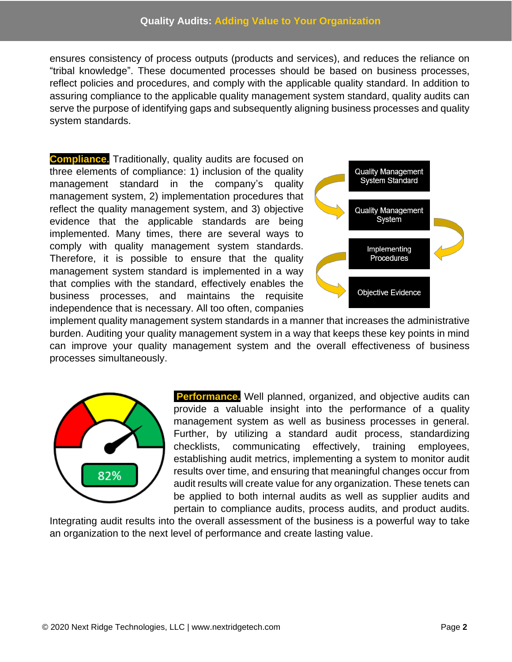ensures consistency of process outputs (products and services), and reduces the reliance on "tribal knowledge". These documented processes should be based on business processes, reflect policies and procedures, and comply with the applicable quality standard. In addition to assuring compliance to the applicable quality management system standard, quality audits can serve the purpose of identifying gaps and subsequently aligning business processes and quality system standards.

**Compliance.** Traditionally, quality audits are focused on three elements of compliance: 1) inclusion of the quality management standard in the company's quality management system, 2) implementation procedures that reflect the quality management system, and 3) objective evidence that the applicable standards are being implemented. Many times, there are several ways to comply with quality management system standards. Therefore, it is possible to ensure that the quality management system standard is implemented in a way that complies with the standard, effectively enables the business processes, and maintains the requisite independence that is necessary. All too often, companies



implement quality management system standards in a manner that increases the administrative burden. Auditing your quality management system in a way that keeps these key points in mind can improve your quality management system and the overall effectiveness of business processes simultaneously.



**Performance.** Well planned, organized, and objective audits can provide a valuable insight into the performance of a quality management system as well as business processes in general. Further, by utilizing a standard audit process, standardizing checklists, communicating effectively, training employees, establishing audit metrics, implementing a system to monitor audit results over time, and ensuring that meaningful changes occur from audit results will create value for any organization. These tenets can be applied to both internal audits as well as supplier audits and pertain to compliance audits, process audits, and product audits.

Integrating audit results into the overall assessment of the business is a powerful way to take an organization to the next level of performance and create lasting value.